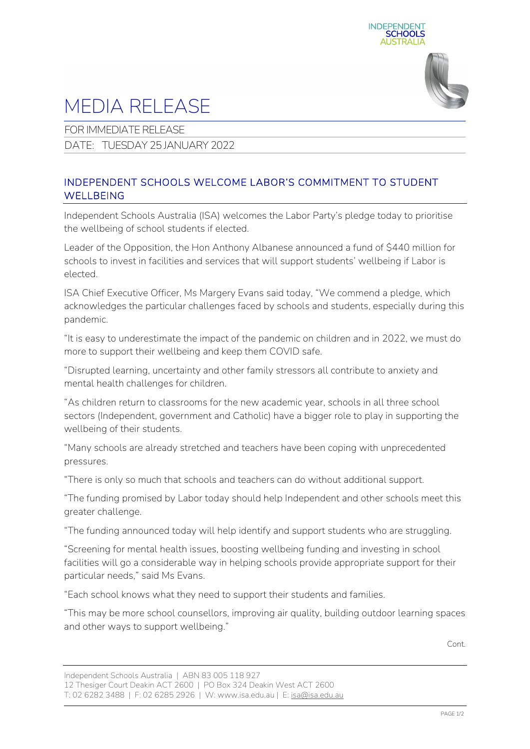



## MEDIA RELEASE

FOR IMMEDIATE RELEASE

DATE: TUESDAY 25 JANUARY 2022

## INDEPENDENT SCHOOLS WELCOME LABOR'S COMMITMENT TO STUDENT **WELLBEING**

Independent Schools Australia (ISA) welcomes the Labor Party's pledge today to prioritise the wellbeing of school students if elected.

Leader of the Opposition, the Hon Anthony Albanese announced a fund of \$440 million for schools to invest in facilities and services that will support students' wellbeing if Labor is elected.

ISA Chief Executive Officer, Ms Margery Evans said today, "We commend a pledge, which acknowledges the particular challenges faced by schools and students, especially during this pandemic.

"It is easy to underestimate the impact of the pandemic on children and in 2022, we must do more to support their wellbeing and keep them COVID safe.

"Disrupted learning, uncertainty and other family stressors all contribute to anxiety and mental health challenges for children.

"As children return to classrooms for the new academic year, schools in all three school sectors (Independent, government and Catholic) have a bigger role to play in supporting the wellbeing of their students.

"Many schools are already stretched and teachers have been coping with unprecedented pressures.

"There is only so much that schools and teachers can do without additional support.

"The funding promised by Labor today should help Independent and other schools meet this greater challenge.

"The funding announced today will help identify and support students who are struggling.

"Screening for mental health issues, boosting wellbeing funding and investing in school facilities will go a considerable way in helping schools provide appropriate support for their particular needs," said Ms Evans.

"Each school knows what they need to support their students and families.

"This may be more school counsellors, improving air quality, building outdoor learning spaces and other ways to support wellbeing."

Cont.